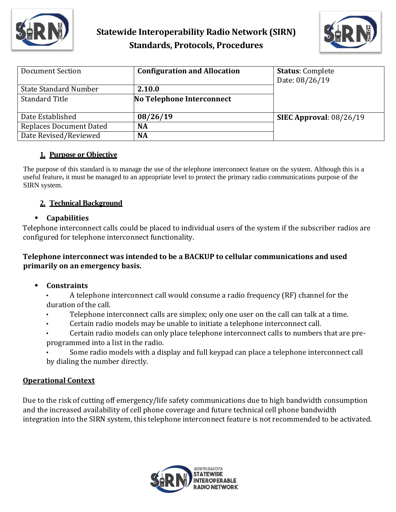



| Document Section               | <b>Configuration and Allocation</b> | <b>Status: Complete</b>   |
|--------------------------------|-------------------------------------|---------------------------|
|                                |                                     | Date: 08/26/19            |
| <b>State Standard Number</b>   | 2.10.0                              |                           |
| <b>Standard Title</b>          | No Telephone Interconnect           |                           |
|                                |                                     |                           |
| Date Established               | 08/26/19                            | SIEC Approval: $08/26/19$ |
| <b>Replaces Document Dated</b> | <b>NA</b>                           |                           |
| Date Revised/Reviewed          | <b>NA</b>                           |                           |

### **1. Purpose or Objective**

The purpose of this standard is to manage the use of the telephone interconnect feature on the system. Although this is a useful feature, it must be managed to an appropriate level to protect the primary radio communications purpose of the SIRN system.

# **2. Technical Background**

### ▪ **Capabilities**

Telephone interconnect calls could be placed to individual users of the system if the subscriber radios are configured for telephone interconnect functionality.

# **Telephone interconnect was intended to be a BACKUP to cellular communications and used primarily on an emergency basis.**

### ▪ **Constraints**

• A telephone interconnect call would consume a radio frequency (RF) channel for the duration of the call.

- Telephone interconnect calls are simplex; only one user on the call can talk at a time.
- Certain radio models may be unable to initiate a telephone interconnect call.
- Certain radio models can only place telephone interconnect calls to numbers that are preprogrammed into a list in the radio.
- Some radio models with a display and full keypad can place a telephone interconnect call by dialing the number directly.

# **Operational Context**

Due to the risk of cutting off emergency/life safety communications due to high bandwidth consumption and the increased availability of cell phone coverage and future technical cell phone bandwidth integration into the SIRN system, this telephone interconnect feature is not recommended to be activated.